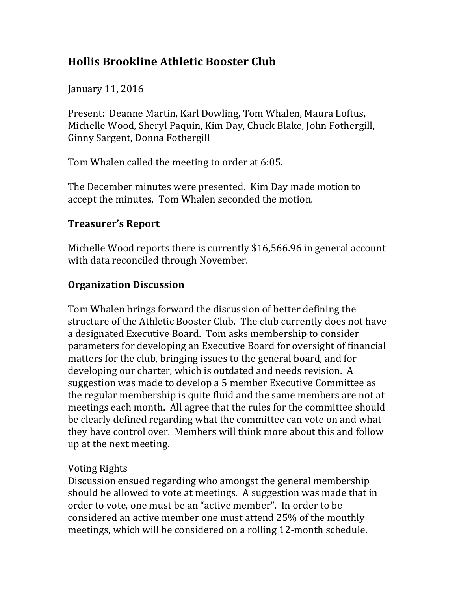# **Hollis Brookline Athletic Booster Club**

January 11, 2016

Present: Deanne Martin, Karl Dowling, Tom Whalen, Maura Loftus, Michelle Wood, Sheryl Paquin, Kim Day, Chuck Blake, John Fothergill, Ginny Sargent, Donna Fothergill

Tom Whalen called the meeting to order at 6:05.

The December minutes were presented. Kim Day made motion to accept the minutes. Tom Whalen seconded the motion.

### **Treasurer's Report**

Michelle Wood reports there is currently \$16,566.96 in general account with data reconciled through November.

### **Organization Discussion**

Tom Whalen brings forward the discussion of better defining the structure of the Athletic Booster Club. The club currently does not have a designated Executive Board. Tom asks membership to consider parameters for developing an Executive Board for oversight of financial matters for the club, bringing issues to the general board, and for developing our charter, which is outdated and needs revision. A suggestion was made to develop a 5 member Executive Committee as the regular membership is quite fluid and the same members are not at meetings each month. All agree that the rules for the committee should be clearly defined regarding what the committee can vote on and what they have control over. Members will think more about this and follow up at the next meeting.

### **Voting Rights**

Discussion ensued regarding who amongst the general membership should be allowed to vote at meetings. A suggestion was made that in order to vote, one must be an "active member". In order to be considered an active member one must attend 25% of the monthly meetings, which will be considered on a rolling 12-month schedule.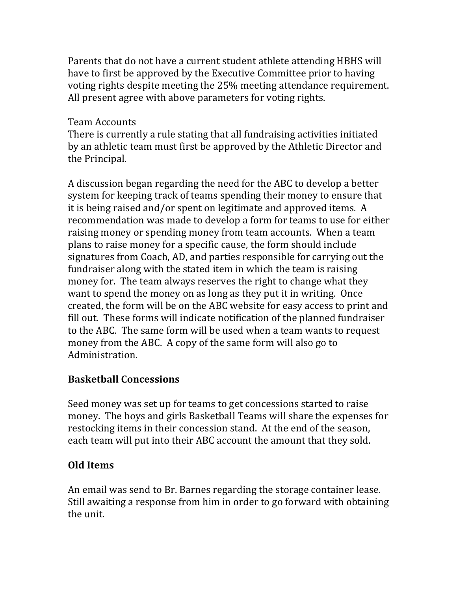Parents that do not have a current student athlete attending HBHS will have to first be approved by the Executive Committee prior to having voting rights despite meeting the 25% meeting attendance requirement. All present agree with above parameters for voting rights.

#### Team Accounts

There is currently a rule stating that all fundraising activities initiated by an athletic team must first be approved by the Athletic Director and the Principal.

A discussion began regarding the need for the ABC to develop a better system for keeping track of teams spending their money to ensure that it is being raised and/or spent on legitimate and approved items. A recommendation was made to develop a form for teams to use for either raising money or spending money from team accounts. When a team plans to raise money for a specific cause, the form should include signatures from Coach, AD, and parties responsible for carrying out the fundraiser along with the stated item in which the team is raising money for. The team always reserves the right to change what they want to spend the money on as long as they put it in writing. Once created, the form will be on the ABC website for easy access to print and fill out. These forms will indicate notification of the planned fundraiser to the ABC. The same form will be used when a team wants to request money from the ABC. A copy of the same form will also go to Administration.

### **Basketball Concessions**

Seed money was set up for teams to get concessions started to raise money. The boys and girls Basketball Teams will share the expenses for restocking items in their concession stand. At the end of the season, each team will put into their ABC account the amount that they sold.

## **Old Items**

An email was send to Br. Barnes regarding the storage container lease. Still awaiting a response from him in order to go forward with obtaining the unit.